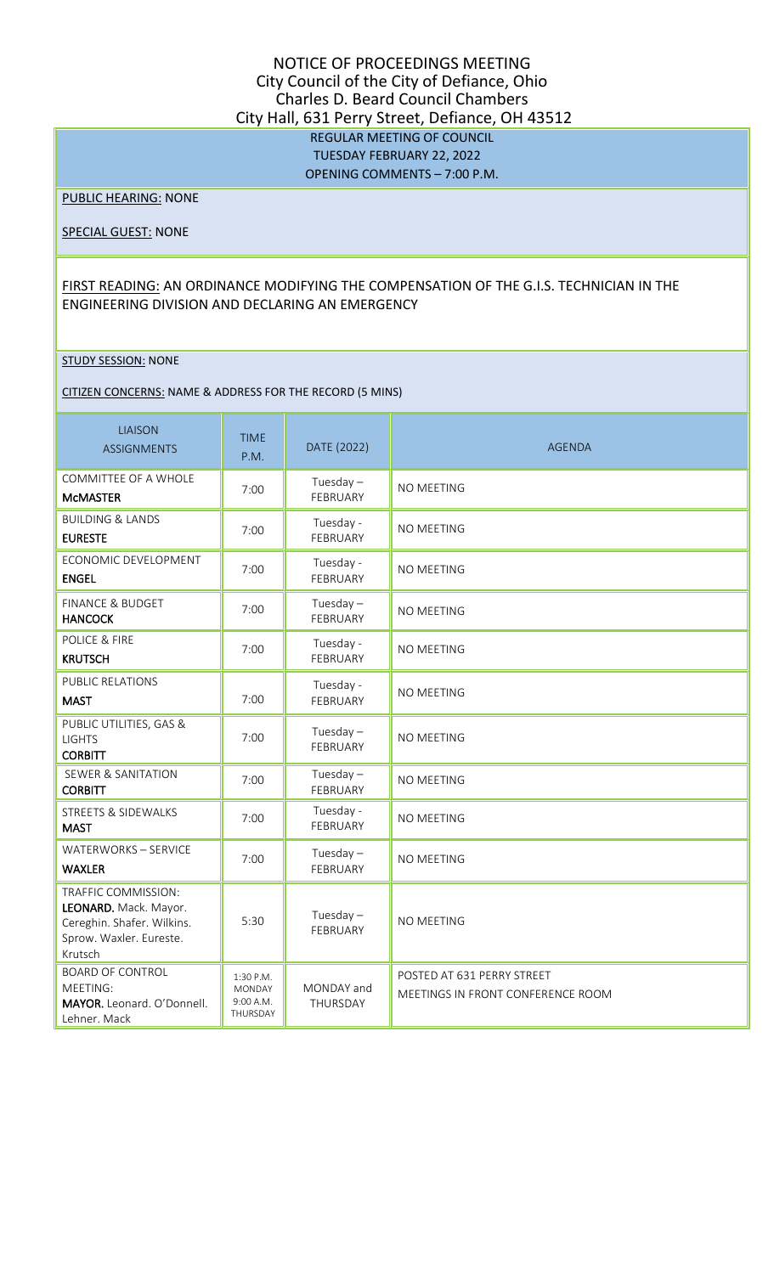## NOTICE OF PROCEEDINGS MEETING City Council of the City of Defiance, Ohio Charles D. Beard Council Chambers City Hall, 631 Perry Street, Defiance, OH 43512 REGULAR MEETING OF COUNCIL TUESDAY FEBRUARY 22, 2022 OPENING COMMENTS – 7:00 P.M.

PUBLIC HEARING: NONE

SPECIAL GUEST: NONE

## FIRST READING: AN ORDINANCE MODIFYING THE COMPENSATION OF THE G.I.S. TECHNICIAN IN THE ENGINEERING DIVISION AND DECLARING AN EMERGENCY

#### STUDY SESSION: NONE

CITIZEN CONCERNS: NAME & ADDRESS FOR THE RECORD (5 MINS)

| <b>LIAISON</b><br><b>ASSIGNMENTS</b>                                                                             | <b>TIME</b><br>P.M.                                 | DATE (2022)             | <b>AGENDA</b>                                                   |
|------------------------------------------------------------------------------------------------------------------|-----------------------------------------------------|-------------------------|-----------------------------------------------------------------|
| COMMITTEE OF A WHOLE<br><b>MCMASTER</b>                                                                          | 7:00                                                | Tuesday $-$<br>FEBRUARY | <b>NO MEETING</b>                                               |
| <b>BUILDING &amp; LANDS</b><br><b>EURESTE</b>                                                                    | 7:00                                                | Tuesday -<br>FEBRUARY   | NO MEETING                                                      |
| ECONOMIC DEVELOPMENT<br><b>ENGEL</b>                                                                             | 7:00                                                | Tuesday -<br>FEBRUARY   | <b>NO MEETING</b>                                               |
| FINANCE & BUDGET<br><b>HANCOCK</b>                                                                               | 7:00                                                | Tuesday $-$<br>FEBRUARY | NO MEETING                                                      |
| POLICE & FIRE<br><b>KRUTSCH</b>                                                                                  | 7:00                                                | Tuesday -<br>FEBRUARY   | NO MEETING                                                      |
| <b>PUBLIC RELATIONS</b><br><b>MAST</b>                                                                           | 7:00                                                | Tuesday -<br>FEBRUARY   | NO MEETING                                                      |
| PUBLIC UTILITIES, GAS &<br><b>LIGHTS</b><br><b>CORBITT</b>                                                       | 7:00                                                | Tuesday $-$<br>FEBRUARY | NO MEETING                                                      |
| <b>SEWER &amp; SANITATION</b><br><b>CORBITT</b>                                                                  | 7:00                                                | Tuesday $-$<br>FEBRUARY | <b>NO MEETING</b>                                               |
| STREETS & SIDEWALKS<br><b>MAST</b>                                                                               | 7:00                                                | Tuesday -<br>FEBRUARY   | NO MEETING                                                      |
| WATERWORKS - SERVICE<br><b>WAXLER</b>                                                                            | 7:00                                                | Tuesday $-$<br>FEBRUARY | NO MEETING                                                      |
| TRAFFIC COMMISSION:<br>LEONARD. Mack. Mayor.<br>Cereghin. Shafer. Wilkins.<br>Sprow. Waxler. Eureste.<br>Krutsch | 5:30                                                | Tuesday $-$<br>FEBRUARY | NO MEETING                                                      |
| <b>BOARD OF CONTROL</b><br>MEETING:<br>MAYOR. Leonard. O'Donnell.<br>Lehner. Mack                                | 1:30 P.M.<br><b>MONDAY</b><br>9:00 A.M.<br>THURSDAY | MONDAY and<br>THURSDAY  | POSTED AT 631 PERRY STREET<br>MEETINGS IN FRONT CONFERENCE ROOM |